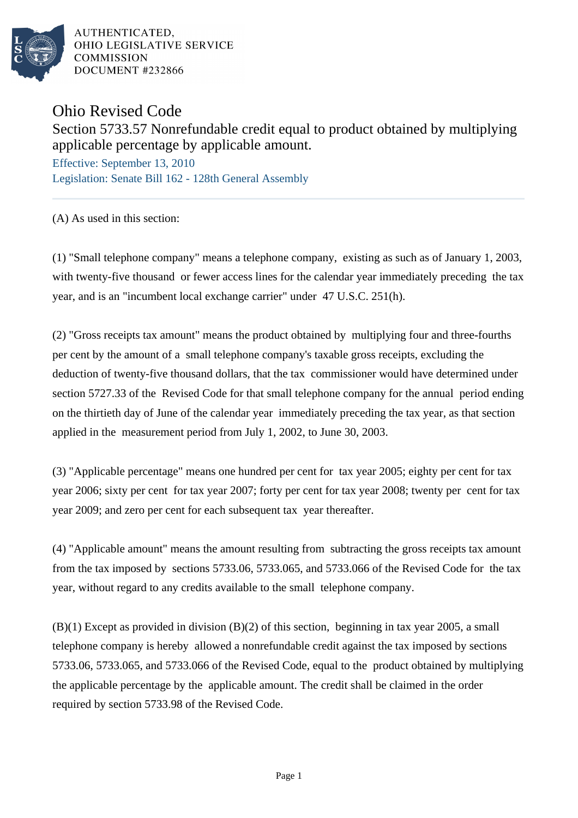

AUTHENTICATED. OHIO LEGISLATIVE SERVICE **COMMISSION** DOCUMENT #232866

## Ohio Revised Code

## Section 5733.57 Nonrefundable credit equal to product obtained by multiplying applicable percentage by applicable amount.

Effective: September 13, 2010 Legislation: Senate Bill 162 - 128th General Assembly

(A) As used in this section:

(1) "Small telephone company" means a telephone company, existing as such as of January 1, 2003, with twenty-five thousand or fewer access lines for the calendar year immediately preceding the tax year, and is an "incumbent local exchange carrier" under 47 U.S.C. 251(h).

(2) "Gross receipts tax amount" means the product obtained by multiplying four and three-fourths per cent by the amount of a small telephone company's taxable gross receipts, excluding the deduction of twenty-five thousand dollars, that the tax commissioner would have determined under section 5727.33 of the Revised Code for that small telephone company for the annual period ending on the thirtieth day of June of the calendar year immediately preceding the tax year, as that section applied in the measurement period from July 1, 2002, to June 30, 2003.

(3) "Applicable percentage" means one hundred per cent for tax year 2005; eighty per cent for tax year 2006; sixty per cent for tax year 2007; forty per cent for tax year 2008; twenty per cent for tax year 2009; and zero per cent for each subsequent tax year thereafter.

(4) "Applicable amount" means the amount resulting from subtracting the gross receipts tax amount from the tax imposed by sections 5733.06, 5733.065, and 5733.066 of the Revised Code for the tax year, without regard to any credits available to the small telephone company.

(B)(1) Except as provided in division (B)(2) of this section, beginning in tax year 2005, a small telephone company is hereby allowed a nonrefundable credit against the tax imposed by sections 5733.06, 5733.065, and 5733.066 of the Revised Code, equal to the product obtained by multiplying the applicable percentage by the applicable amount. The credit shall be claimed in the order required by section 5733.98 of the Revised Code.